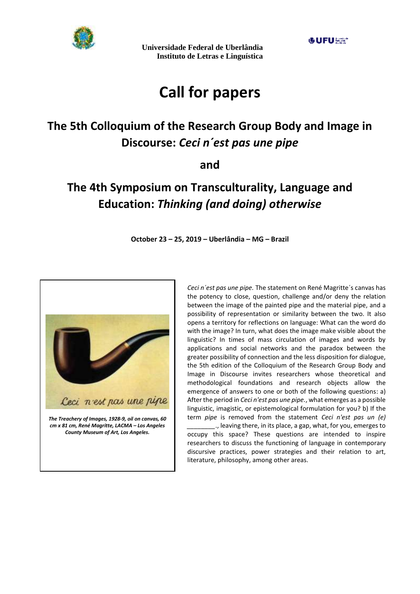

# **Call for papers**

## **The 5th Colloquium of the Research Group Body and Image in Discourse:** *Ceci n´est pas une pipe*

## **and**

## **The 4th Symposium on Transculturality, Language and Education:** *Thinking (and doing) otherwise*

**October 23 – 25, 2019 – Uberlândia – MG – Brazil**



*Ceci n´est pas une pipe.* The statement on René Magritte´s canvas has the potency to close, question, challenge and/or deny the relation between the image of the painted pipe and the material pipe, and a possibility of representation or similarity between the two. It also opens a territory for reflections on language: What can the word do with the image? In turn, what does the image make visible about the linguistic? In times of mass circulation of images and words by applications and social networks and the paradox between the greater possibility of connection and the less disposition for dialogue, the 5th edition of the Colloquium of the Research Group Body and Image in Discourse invites researchers whose theoretical and methodological foundations and research objects allow the emergence of answers to one or both of the following questions: a) After the period in *Ceci n'est pas une pipe.*, what emerges as a possible linguistic, imagistic, or epistemological formulation for you? b) If the term *pipe* is removed from the statement *Ceci n'est pas un (e) \_\_\_\_\_\_\_\_*., leaving there, in its place, a gap, what, for you, emerges to occupy this space? These questions are intended to inspire researchers to discuss the functioning of language in contemporary discursive practices, power strategies and their relation to art,

literature, philosophy, among other areas.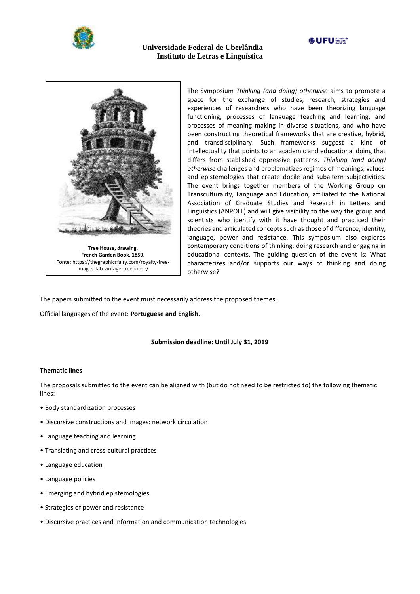





The Symposium *Thinking (and doing) otherwise* aims to promote a space for the exchange of studies, research, strategies and experiences of researchers who have been theorizing language functioning, processes of language teaching and learning, and processes of meaning making in diverse situations, and who have been constructing theoretical frameworks that are creative, hybrid, and transdisciplinary. Such frameworks suggest a kind of intellectuality that points to an academic and educational doing that differs from stablished oppressive patterns. *Thinking (and doing) otherwise* challenges and problematizes regimes of meanings, values and epistemologies that create docile and subaltern subjectivities. The event brings together members of the Working Group on Transculturality, Language and Education, affiliated to the National Association of Graduate Studies and Research in Letters and Linguistics (ANPOLL) and will give visibility to the way the group and scientists who identify with it have thought and practiced their theories and articulated concepts such as those of difference, identity, language, power and resistance. This symposium also explores contemporary conditions of thinking, doing research and engaging in educational contexts. The guiding question of the event is: What characterizes and/or supports our ways of thinking and doing otherwise?

The papers submitted to the event must necessarily address the proposed themes.

Official languages of the event: **Portuguese and English**.

#### **Submission deadline: Until July 31, 2019**

#### **Thematic lines**

The proposals submitted to the event can be aligned with (but do not need to be restricted to) the following thematic lines:

- Body standardization processes
- Discursive constructions and images: network circulation
- Language teaching and learning
- Translating and cross-cultural practices
- Language education
- Language policies
- Emerging and hybrid epistemologies
- Strategies of power and resistance
- Discursive practices and information and communication technologies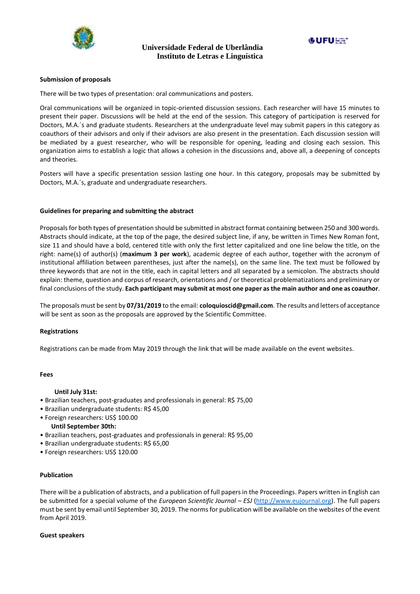



#### **Submission of proposals**

There will be two types of presentation: oral communications and posters.

Oral communications will be organized in topic-oriented discussion sessions. Each researcher will have 15 minutes to present their paper. Discussions will be held at the end of the session. This category of participation is reserved for Doctors, M.A.´s and graduate students. Researchers at the undergraduate level may submit papers in this category as coauthors of their advisors and only if their advisors are also present in the presentation. Each discussion session will be mediated by a guest researcher, who will be responsible for opening, leading and closing each session. This organization aims to establish a logic that allows a cohesion in the discussions and, above all, a deepening of concepts and theories.

Posters will have a specific presentation session lasting one hour. In this category, proposals may be submitted by Doctors, M.A.´s, graduate and undergraduate researchers.

#### **Guidelines for preparing and submitting the abstract**

Proposals for both types of presentation should be submitted in abstract format containing between 250 and 300 words. Abstracts should indicate, at the top of the page, the desired subject line, if any, be written in Times New Roman font, size 11 and should have a bold, centered title with only the first letter capitalized and one line below the title, on the right: name(s) of author(s) (**maximum 3 per work**), academic degree of each author, together with the acronym of institutional affiliation between parentheses, just after the name(s), on the same line. The text must be followed by three keywords that are not in the title, each in capital letters and all separated by a semicolon. The abstracts should explain: theme, question and corpus of research, orientations and / or theoretical problematizations and preliminary or final conclusions of the study. **Each participant may submit at most one paper as the main author and one as coauthor**.

The proposals must be sent by **07/31/2019** to the email: **coloquioscid@gmail.com**. The results and letters of acceptance will be sent as soon as the proposals are approved by the Scientific Committee.

#### **Registrations**

Registrations can be made from May 2019 through the link that will be made available on the event websites.

#### **Fees**

#### **Until July 31st:**

- Brazilian teachers, post-graduates and professionals in general: R\$ 75,00
- Brazilian undergraduate students: R\$ 45,00
- Foreign researchers: US\$ 100.00  **Until September 30th:**
- Brazilian teachers, post-graduates and professionals in general: R\$ 95,00
- Brazilian undergraduate students: R\$ 65,00
- Foreign researchers: US\$ 120.00

#### **Publication**

There will be a publication of abstracts, and a publication of full papers in the Proceedings. Papers written in English can be submitted for a special volume of the *European Scientific Journal – ESJ* [\(http://www.eujournal.org\)](http://www.eujournal.org/). The full papers must be sent by email until September 30, 2019. The norms for publication will be available on the websites of the event from April 2019.

#### **Guest speakers**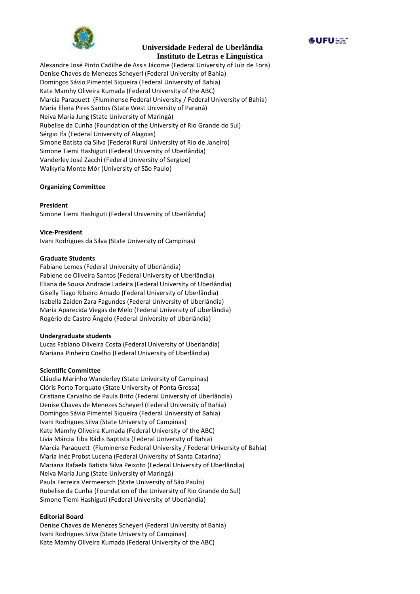

**GUFUSS** 

Alexandre José Pinto Cadilhe de Assis Jácome (Federal University of Juiz de Fora) Denise Chaves de Menezes Scheyerl (Federal University of Bahia) Domingos Sávio Pimentel Siqueira (Federal University of Bahia) Kate Mamhy Oliveira Kumada (Federal University of the ABC) Marcia Paraquett (Fluminense Federal University / Federal University of Bahia) Maria Elena Pires Santos (State West University of Paraná) Neiva Maria Jung (State University of Maringá) Rubelise da Cunha (Foundation of the University of Rio Grande do Sul) Sérgio Ifa (Federal University of Alagoas) Simone Batista da Silva (Federal Rural University of Rio de Janeiro) Simone Tiemi Hashiguti (Federal University of Uberlândia) Vanderley José Zacchi (Federal University of Sergipe) Walkyria Monte Mór (University of São Paulo)

### **Organizing Committee**

#### **President**

Simone Tiemi Hashiguti (Federal University of Uberlândia)

**Vice-President**

Ivani Rodrigues da Silva (State University of Campinas)

#### **Graduate Students**

[Fabiane](http://lattes.cnpq.br/6779683201029497) Lemes (Federal University of Uberlândia) [Fabiene](http://lattes.cnpq.br/0070947581383544) de Oliveira Santos (Federal University of Uberlândia) Eliana de Sousa Andrade Ladeira (Federal University of Uberlândia) Giselly Tiago Ribeiro [Amado](http://lattes.cnpq.br/5771970287386431) (Federal University of Uberlândia) Isabella Zaiden Zara Fagundes (Federal University of Uberlândia) Maria [Aparecida](http://lattes.cnpq.br/0072243579768835) Viegas de Melo (Federal University of Uberlândia) Rogério de Castro Ângelo (Federal University of Uberlândia)

#### **Undergraduate students**

Lucas Fabiano Oliveira Costa (Federal University of Uberlândia) Mariana Pinheiro Coelho (Federal University of Uberlândia)

#### **Scientific Committee**

Cláudia Marinho Wanderley (State University of Campinas) Clóris Porto Torquato (State University of Ponta Grossa) Cristiane Carvalho de Paula Brito (Federal University of Uberlândia) Denise Chaves de Menezes Scheyerl (Federal University of Bahia) Domingos Sávio Pimentel Siqueira (Federal University of Bahia) Ivani Rodrigues Silva (State University of Campinas) Kate Mamhy Oliveira Kumada (Federal University of the ABC) Lívia Márcia Tiba Rádis Baptista (Federal University of Bahia) Marcia Paraquett (Fluminense Federal University / Federal University of Bahia) Maria Inêz Probst Lucena (Federal University of Santa Catarina) Mariana Rafaela Batista Silva Peixoto (Federal University of Uberlândia) Neiva Maria Jung (State University of Maringá) Paula Ferreira Vermeersch (State University of São Paulo) Rubelise da Cunha (Foundation of the University of Rio Grande do Sul) Simone Tiemi Hashiguti (Federal University of Uberlândia)

#### **Editorial Board**

Denise Chaves de Menezes Scheyerl (Federal University of Bahia) Ivani Rodrigues Silva (State University of Campinas) Kate Mamhy Oliveira Kumada (Federal University of the ABC)